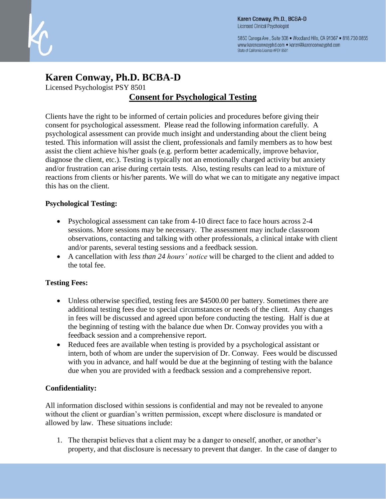

5850 Canoga Ave., Suite 308 . Woodland Hills, CA 91367 . 818.730.0855 www.karenconwayphd.com . karen@karenconwayphd.com State of California License #PSY 8501

# **Karen Conway, Ph.D. BCBA-D**

Licensed Psychologist PSY 8501

## **Consent for Psychological Testing**

Clients have the right to be informed of certain policies and procedures before giving their consent for psychological assessment. Please read the following information carefully. A psychological assessment can provide much insight and understanding about the client being tested. This information will assist the client, professionals and family members as to how best assist the client achieve his/her goals (e.g. perform better academically, improve behavior, diagnose the client, etc.). Testing is typically not an emotionally charged activity but anxiety and/or frustration can arise during certain tests. Also, testing results can lead to a mixture of reactions from clients or his/her parents. We will do what we can to mitigate any negative impact this has on the client.

#### **Psychological Testing:**

- Psychological assessment can take from 4-10 direct face to face hours across 2-4 sessions. More sessions may be necessary. The assessment may include classroom observations, contacting and talking with other professionals, a clinical intake with client and/or parents, several testing sessions and a feedback session.
- A cancellation with *less than 24 hours' notice* will be charged to the client and added to the total fee.

#### **Testing Fees:**

- Unless otherwise specified, testing fees are \$4500.00 per battery. Sometimes there are additional testing fees due to special circumstances or needs of the client. Any changes in fees will be discussed and agreed upon before conducting the testing. Half is due at the beginning of testing with the balance due when Dr. Conway provides you with a feedback session and a comprehensive report.
- Reduced fees are available when testing is provided by a psychological assistant or intern, both of whom are under the supervision of Dr. Conway. Fees would be discussed with you in advance, and half would be due at the beginning of testing with the balance due when you are provided with a feedback session and a comprehensive report.

### **Confidentiality:**

All information disclosed within sessions is confidential and may not be revealed to anyone without the client or guardian's written permission, except where disclosure is mandated or allowed by law. These situations include:

1. The therapist believes that a client may be a danger to oneself, another, or another's property, and that disclosure is necessary to prevent that danger. In the case of danger to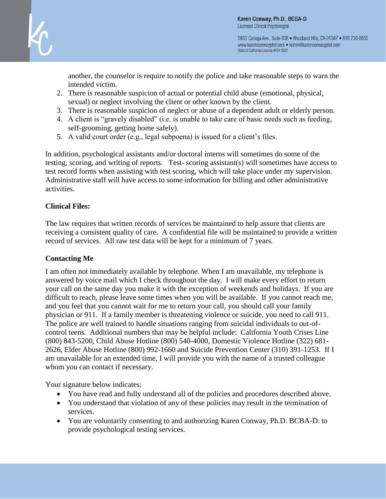

5850 Canoga Ave., Suite 308 . Woodland Hills, CA 91367 . 818.730.0855 www.karenconwayphd.com . karen@karenconwayphd.com State of California License #PSY 8501

another, the counselor is require to notify the police and take reasonable steps to warn the intended victim.

- 2. There is reasonable suspicion of actual or potential child abuse (emotional, physical, sexual) or neglect involving the client or other known by the client.
- 3. There is reasonable suspicion of neglect or abuse of a dependent adult or elderly person.
- 4. A client is "gravely disabled" (i.e. is unable to take care of basic needs such as feeding, self-grooming, getting home safely).
- 5. A valid court order (e.g., legal subpoena) is issued for a client's files.

In addition, psychological assistants and/or doctoral interns will sometimes do some of the testing, scoring, and writing of reports. Test- scoring assistant(s) will sometimes have access to test record forms when assisting with test scoring, which will take place under my supervision. Administrative staff will have access to some information for billing and other administrative activities.

#### **Clinical Files:**

The law requires that written records of services be maintained to help assure that clients are receiving a consistent quality of care. A confidential file will be maintained to provide a written record of services. All raw test data will be kept for a minimum of 7 years.

#### **Contacting Me**

I am often not immediately available by telephone. When I am unavailable, my telephone is answered by voice mail which I check throughout the day. I will make every effort to return your call on the same day you make it with the exception of weekends and holidays. If you are difficult to reach, please leave some times when you will be available. If you cannot reach me, and you feel that you cannot wait for me to return your call, you should call your family physician or 911. If a family member is threatening violence or suicide, you need to call 911. The police are well trained to handle situations ranging from suicidal individuals to out-ofcontrol teens. Additional numbers that may be helpful include: California Youth Crises Line (800) 843-5200, Child Abuse Hotline (800) 540-4000, Domestic Violence Hotline (322) 681- 2626, Elder Abuse Hotline (800) 992-1660 and Suicide Prevention Center (310) 391-1253. If I am unavailable for an extended time, I will provide you with the name of a trusted colleague whom you can contact if necessary.

Your signature below indicates:

- You have read and fully understand all of the policies and procedures described above.
- You understand that violation of any of these policies may result in the termination of services.
- You are voluntarily consenting to and authorizing Karen Conway, Ph.D. BCBA-D. to provide psychological testing services.